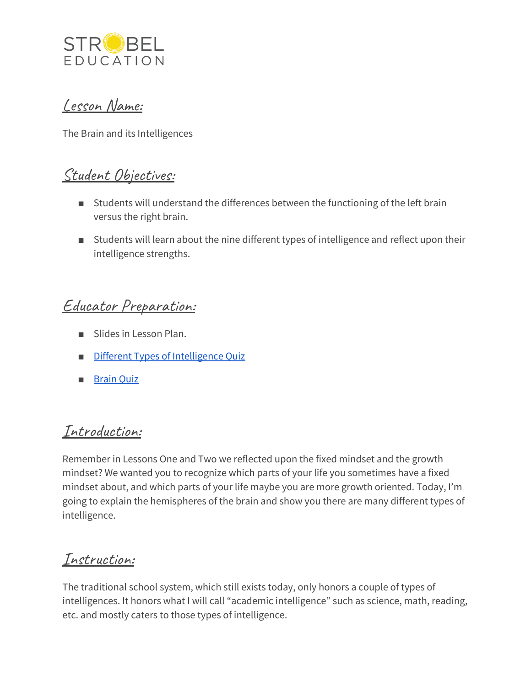

### Lesson Name:

The Brain and its Intelligences

### Student Objectives:

- Students will understand the differences between the functioning of the left brain versus the right brain.
- Students will learn about the nine different types of intelligence and reflect upon their intelligence strengths.

# Educator Preparation:

- Slides in Lesson Plan.
- Different Types of [Intelligence](https://www.psychologytoday.com/us/tests/iq/multiple-intelligences-learning-style-test) Quiz
- [Brain](https://www.arealme.com/left-right-brain/en/) Quiz

### Introduction:

Remember in Lessons One and Two we reflected upon the fixed mindset and the growth mindset? We wanted you to recognize which parts of your life you sometimes have a fixed mindset about, and which parts of your life maybe you are more growth oriented. Today, I'm going to explain the hemispheres of the brain and show you there are many different types of intelligence.

# Instruction:

The traditional school system, which still exists today, only honors a couple of types of intelligences. It honors what I will call "academic intelligence" such as science, math, reading, etc. and mostly caters to those types of intelligence.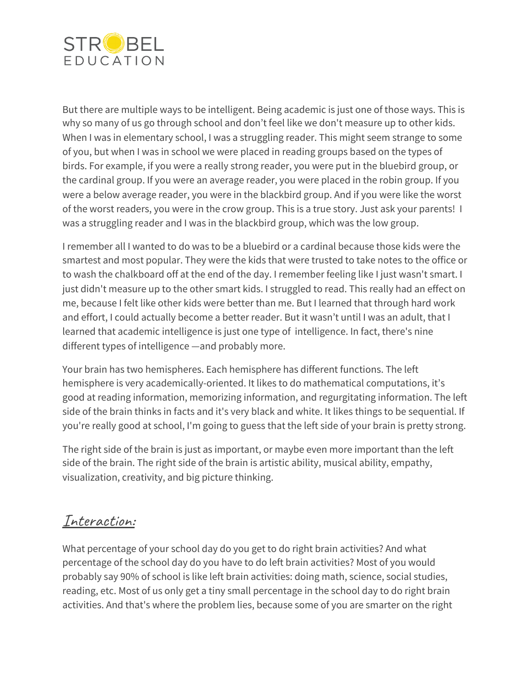

But there are multiple ways to be intelligent. Being academic is just one of those ways. This is why so many of us go through school and don't feel like we don't measure up to other kids. When I was in elementary school, I was a struggling reader. This might seem strange to some of you, but when I was in school we were placed in reading groups based on the types of birds. For example, if you were a really strong reader, you were put in the bluebird group, or the cardinal group. If you were an average reader, you were placed in the robin group. If you were a below average reader, you were in the blackbird group. And if you were like the worst of the worst readers, you were in the crow group. This is a true story. Just ask your parents! I was a struggling reader and I was in the blackbird group, which was the low group.

I remember all I wanted to do was to be a bluebird or a cardinal because those kids were the smartest and most popular. They were the kids that were trusted to take notes to the office or to wash the chalkboard off at the end of the day. I remember feeling like I just wasn't smart. I just didn't measure up to the other smart kids. I struggled to read. This really had an effect on me, because I felt like other kids were better than me. But I learned that through hard work and effort, I could actually become a better reader. But it wasn't until I was an adult, that I learned that academic intelligence is just one type of intelligence. In fact, there's nine different types of intelligence —and probably more.

Your brain has two hemispheres. Each hemisphere has different functions. The left hemisphere is very academically-oriented. It likes to do mathematical computations, it's good at reading information, memorizing information, and regurgitating information. The left side of the brain thinks in facts and it's very black and white. It likes things to be sequential. If you're really good at school, I'm going to guess that the left side of your brain is pretty strong.

The right side of the brain is just as important, or maybe even more important than the left side of the brain. The right side of the brain is artistic ability, musical ability, empathy, visualization, creativity, and big picture thinking.

### Interaction:

What percentage of your school day do you get to do right brain activities? And what percentage of the school day do you have to do left brain activities? Most of you would probably say 90% of school is like left brain activities: doing math, science, social studies, reading, etc. Most of us only get a tiny small percentage in the school day to do right brain activities. And that's where the problem lies, because some of you are smarter on the right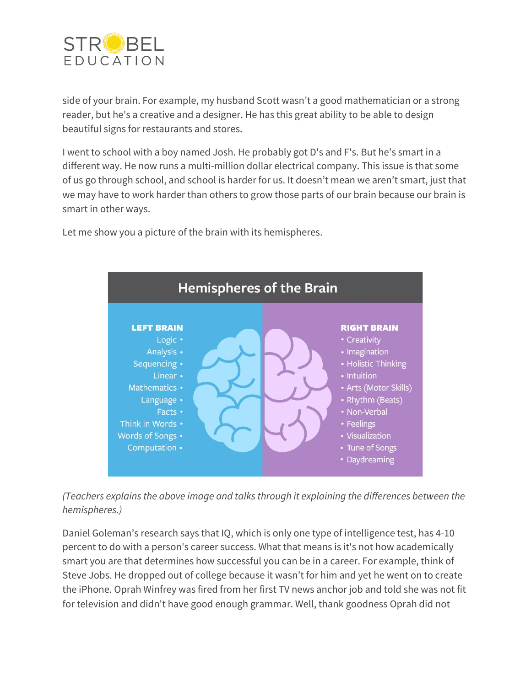

side of your brain. For example, my husband Scott wasn't a good mathematician or a strong reader, but he's a creative and a designer. He has this great ability to be able to design beautiful signs for restaurants and stores.

I went to school with a boy named Josh. He probably got D's and F's. But he's smart in a different way. He now runs a multi-million dollar electrical company. This issue is that some of us go through school, and school is harder for us. It doesn't mean we aren't smart, just that we may have to work harder than others to grow those parts of our brain because our brain is smart in other ways.

Let me show you a picture of the brain with its hemispheres.



*(Teachers explains the above image and talks through it explaining the differences between the hemispheres.)*

Daniel Goleman's research says that IQ, which is only one type of intelligence test, has 4-10 percent to do with a person's career success. What that means is it's not how academically smart you are that determines how successful you can be in a career. For example, think of Steve Jobs. He dropped out of college because it wasn't for him and yet he went on to create the iPhone. Oprah Winfrey was fired from her first TV news anchor job and told she was not fit for television and didn't have good enough grammar. Well, thank goodness Oprah did not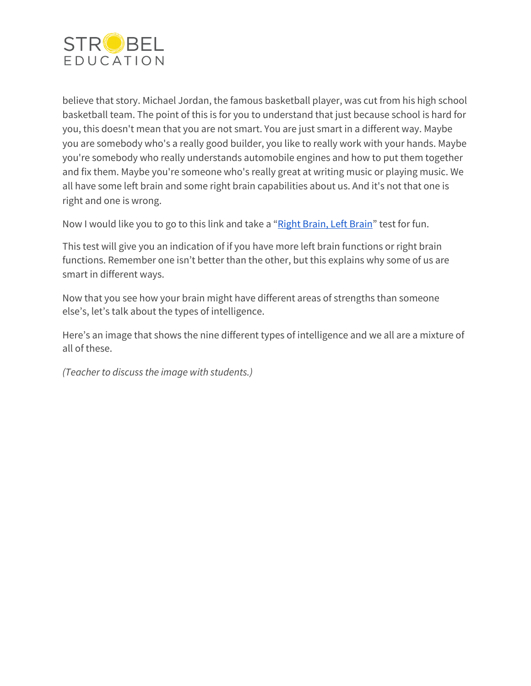

believe that story. Michael Jordan, the famous basketball player, was cut from his high school basketball team. The point of this is for you to understand that just because school is hard for you, this doesn't mean that you are not smart. You are just smart in a different way. Maybe you are somebody who's a really good builder, you like to really work with your hands. Maybe you're somebody who really understands automobile engines and how to put them together and fix them. Maybe you're someone who's really great at writing music or playing music. We all have some left brain and some right brain capabilities about us. And it's not that one is right and one is wrong.

Now I would like you to go to this link and take a "Right [Brain,](https://www.arealme.com/left-right-brain/en/) Left Brain" test for fun.

This test will give you an indication of if you have more left brain functions or right brain functions. Remember one isn't better than the other, but this explains why some of us are smart in different ways.

Now that you see how your brain might have different areas of strengths than someone else's, let's talk about the types of intelligence.

Here's an image that shows the nine different types of intelligence and we all are a mixture of all of these.

*(Teacher to discuss the image with students.)*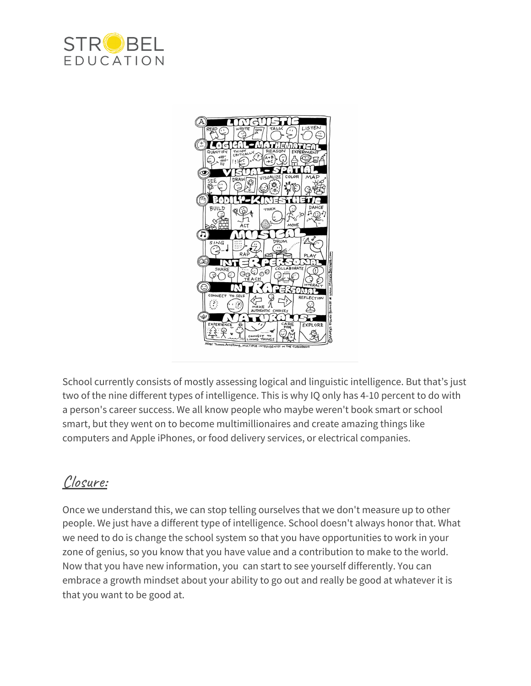



School currently consists of mostly assessing logical and linguistic intelligence. But that's just two of the nine different types of intelligence. This is why IQ only has 4-10 percent to do with a person's career success. We all know people who maybe weren't book smart or school smart, but they went on to become multimillionaires and create amazing things like computers and Apple iPhones, or food delivery services, or electrical companies.

# Closure:

Once we understand this, we can stop telling ourselves that we don't measure up to other people. We just have a different type of intelligence. School doesn't always honor that. What we need to do is change the school system so that you have opportunities to work in your zone of genius, so you know that you have value and a contribution to make to the world. Now that you have new information, you can start to see yourself differently. You can embrace a growth mindset about your ability to go out and really be good at whatever it is that you want to be good at.